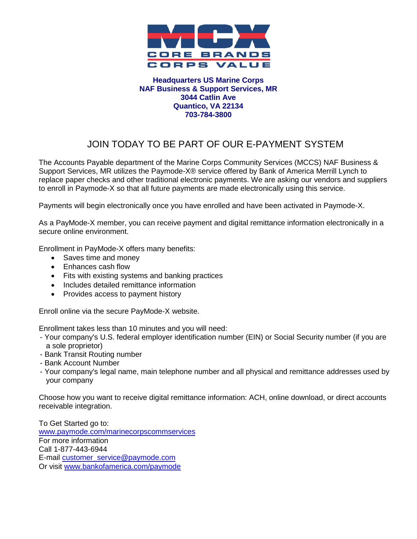

#### **Headquarters US Marine Corps NAF Business & Support Services, MR 3044 Catlin Ave Quantico, VA 22134 703-784-3800**

## JOIN TODAY TO BE PART OF OUR E-PAYMENT SYSTEM

The Accounts Payable department of the Marine Corps Community Services (MCCS) NAF Business & Support Services, MR utilizes the Paymode-X® service offered by Bank of America Merrill Lynch to replace paper checks and other traditional electronic payments. We are asking our vendors and suppliers to enroll in Paymode-X so that all future payments are made electronically using this service.

Payments will begin electronically once you have enrolled and have been activated in Paymode-X.

As a PayMode-X member, you can receive payment and digital remittance information electronically in a secure online environment.

Enrollment in PayMode-X offers many benefits:

- Saves time and money
- Enhances cash flow
- Fits with existing systems and banking practices
- Includes detailed remittance information
- Provides access to payment history

Enroll online via the secure PayMode-X website.

Enrollment takes less than 10 minutes and you will need:

- Your company's U.S. federal employer identification number (EIN) or Social Security number (if you are a sole proprietor)
- Bank Transit Routing number
- Bank Account Number
- Your company's legal name, main telephone number and all physical and remittance addresses used by your company

Choose how you want to receive digital remittance information: ACH, online download, or direct accounts receivable integration.

To Get Started go to: [www.paymode.com/marinecorpscommservices](http://www.paymode.com/marinecorpscommservices) For more information Call 1-877-443-6944 E-mail [customer\\_service@paymode.com](mailto:customer_service@paymode.com)  Or visit [www.bankofamerica.com/paymode](http://www.bankofamerica.com/paymode)